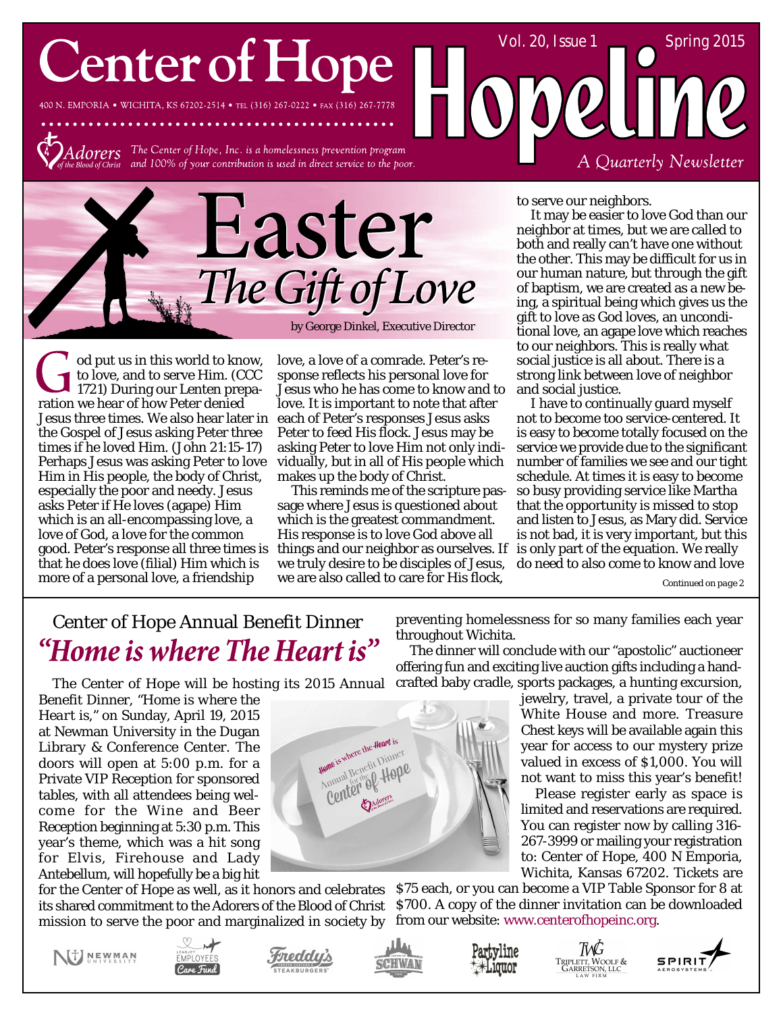# **Center of Hope**

400 N. EMPORIA . WICHITA, KS 67202-2514 . TEL (316) 267-0222 . FAX (316) 267-7778



 $Adorers$  The Center of Hope, Inc. is a homelessness prevention program and 100% of your contribution is used in direct service to the poor.



od put us in this world to know, to love, and to serve Him. (CCC 1721) During our Lenten preparation we hear of how Peter denied Jesus three times. We also hear later in each of Peter's responses Jesus asks the Gospel of Jesus asking Peter three times if he loved Him. (John 21:15-17) Perhaps Jesus was asking Peter to love Him in His people, the body of Christ, especially the poor and needy. Jesus asks Peter if He loves (agape) Him which is an all-encompassing love, a love of God, a love for the common that he does love (filial) Him which is more of a personal love, a friendship

love, a love of a comrade. Peter's response reflects his personal love for Jesus who he has come to know and to love. It is important to note that after Peter to feed His flock. Jesus may be asking Peter to love Him not only individually, but in all of His people which makes up the body of Christ.

good. Peter's response all three times is things and our neighbor as ourselves. If is only part of the equation. We really This reminds me of the scripture passage where Jesus is questioned about which is the greatest commandment. His response is to love God above all we truly desire to be disciples of Jesus, we are also called to care for His flock,

> Home is where the Heart is Home is where the Heart is American Benefit Dinner

to serve our neighbors.

It may be easier to love God than our neighbor at times, but we are called to both and really can't have one without the other. This may be difficult for us in our human nature, but through the gift of baptism, we are created as a new being, a spiritual being which gives us the gift to love as God loves, an unconditional love, an agape love which reaches to our neighbors. This is really what social justice is all about. There is a strong link between love of neighbor and social justice.

A Quarterly Newsletter

Vol. 20, Issue  $1 \quad \text{Spring } 2015$ 

I have to continually guard myself not to become too service-centered. It is easy to become totally focused on the service we provide due to the significant number of families we see and our tight schedule. At times it is easy to become so busy providing service like Martha that the opportunity is missed to stop and listen to Jesus, as Mary did. Service is not bad, it is very important, but this do need to also come to know and love

*Continued on page 2*

### Center of Hope Annual Benefit Dinner "Home is where The Heart is"

The Center of Hope will be hosting its 2015 Annual

Benefit Dinner, *"Home is where the Heart is,"* on Sunday, April 19, 2015 at Newman University in the Dugan Library & Conference Center. The doors will open at 5:00 p.m. for a Private VIP Reception for sponsored tables, with all attendees being welcome for the Wine and Beer Reception beginning at 5:30 p.m. This year's theme, which was a hit song for Elvis, Firehouse and Lady Antebellum, will hopefully be a big hit

for the Center of Hope as well, as it honors and celebrates \$75 each, or you can become a VIP Table Sponsor for 8 at its shared commitment to the Adorers of the Blood of Christ \$700. A copy of the dinner invitation can be downloaded mission to serve the poor and marginalized in society by

preventing homelessness for so many families each year throughout Wichita.

The dinner will conclude with our "apostolic" auctioneer offering fun and exciting live auction gifts including a handcrafted baby cradle, sports packages, a hunting excursion,

> jewelry, travel, a private tour of the White House and more. Treasure Chest keys will be available again this year for access to our mystery prize valued in excess of \$1,000. You will not want to miss this year's benefit!

> Please register early as space is limited and reservations are required. You can register now by calling 316- 267-3999 or mailing your registration to: Center of Hope, 400 N Emporia, Wichita, Kansas 67202. Tickets are

from our website: www.centerofhopeinc.org.













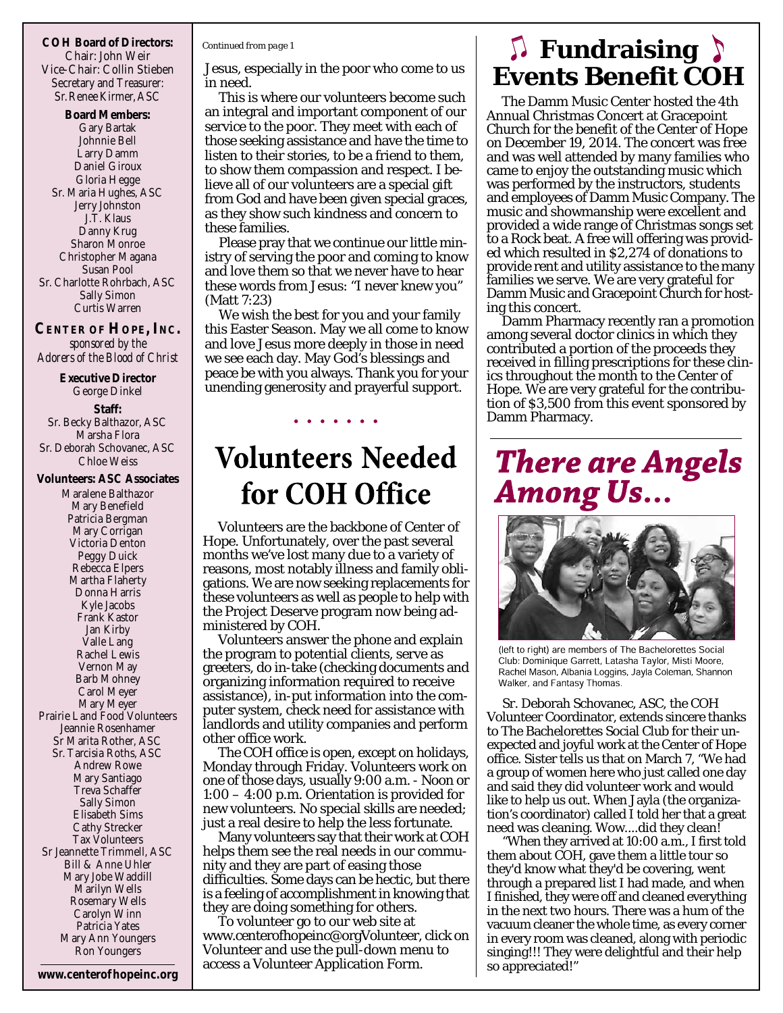**COH Board of Directors:** Chair: John Weir Vice-Chair: Collin Stieben Secretary and Treasurer: Sr.Renee Kirmer, ASC

**Board Members:** Gary Bartak Johnnie Bell Larry Damm Daniel Giroux Gloria Hegge Sr. Maria Hughes, ASC Jerry Johnston J.T. Klaus Danny Krug Sharon Monroe Christopher Magana Susan Pool Sr. Charlotte Rohrbach, ASC Sally Simon Curtis Warren

**CENTER OF HOPE, INC.** *sponsored by the Adorers of the Blood of Christ*

**Executive Director** George Dinkel **Staff:** Sr. Becky Balthazor, ASC Marsha Flora Sr. Deborah Schovanec, ASC Chloe Weiss

#### **Volunteers: ASC Associates**

Maralene Balthazor Mary Benefield Patricia Bergman Mary Corrigan Victoria Denton Peggy Duick Rebecca Elpers Martha Flaherty Donna Harris Kyle Jacobs Frank Kastor Jan Kirby Valle Lang Rachel Lewis Vernon May Barb Mohney Carol Meyer Mary Meyer Prairie Land Food Volunteers Jeannie Rosenhamer Sr Marita Rother, ASC Sr. Tarcisia Roths, ASC Andrew Rowe Mary Santiago Treva Schaffer Sally Simon Elisabeth Sims Cathy Strecker Tax Volunteers Sr Jeannette Trimmell, ASC Bill & Anne Uhler Mary Jobe Waddill Marilyn Wells Rosemary Wells Carolyn Winn Patricia Yates Mary Ann Youngers Ron Youngers

#### *Continued from page 1*

Jesus, especially in the poor who come to us in need.

This is where our volunteers become such an integral and important component of our service to the poor. They meet with each of those seeking assistance and have the time to listen to their stories, to be a friend to them, to show them compassion and respect. I believe all of our volunteers are a special gift from God and have been given special graces, as they show such kindness and concern to these families.

Please pray that we continue our little ministry of serving the poor and coming to know and love them so that we never have to hear these words from Jesus: "I never knew you" (Matt 7:23)

We wish the best for you and your family this Easter Season. May we all come to know and love Jesus more deeply in those in need we see each day. May God's blessings and peace be with you always. Thank you for your unending generosity and prayerful support.

## **Volunteers Needed** for COH Office

Volunteers are the backbone of Center of Hope. Unfortunately, over the past several months we've lost many due to a variety of reasons, most notably illness and family obligations. We are now seeking replacements for these volunteers as well as people to help with the Project Deserve program now being administered by COH.

Volunteers answer the phone and explain the program to potential clients, serve as greeters, do in-take (checking documents and organizing information required to receive assistance), in-put information into the computer system, check need for assistance with landlords and utility companies and perform other office work.

The COH office is open, except on holidays, Monday through Friday. Volunteers work on one of those days, usually 9:00 a.m. - Noon or 1:00 – 4:00 p.m. Orientation is provided for new volunteers. No special skills are needed; just a real desire to help the less fortunate.

Many volunteers say that their work at COH helps them see the real needs in our community and they are part of easing those difficulties. Some days can be hectic, but there is a feeling of accomplishment in knowing that they are doing something for others.

www.centerof hopeinc.org access a Volunteer Application Form. so appreciated!" To volunteer go to our web site at www.centerofhopeinc@orgVolunteer, click on Volunteer and use the pull-down menu to

## **Fundraising**  $\sum$ **Events Benefit COH**

The Damm Music Center hosted the 4th Annual Christmas Concert at Gracepoint Church for the benefit of the Center of Hope on December 19, 2014. The concert was free and was well attended by many families who came to enjoy the outstanding music which was performed by the instructors, students and employees of Damm Music Company. The music and showmanship were excellent and provided a wide range of Christmas songs set to a Rock beat. A free will offering was provided which resulted in \$2,274 of donations to provide rent and utility assistance to the many families we serve. We are very grateful for Damm Music and Gracepoint Church for hosting this concert.

Damm Pharmacy recently ran a promotion among several doctor clinics in which they contributed a portion of the proceeds they received in filling prescriptions for these clinics throughout the month to the Center of Hope. We are very grateful for the contribution of \$3,500 from this event sponsored by Damm Pharmacy.

## **There are Angels Among Us...**



(left to right) are members of The Bachelorettes Social Club: Dominique Garrett, Latasha Taylor, Misti Moore, Rachel Mason, Albania Loggins, Jayla Coleman, Shannon Walker, and Fantasy Thomas.

Sr. Deborah Schovanec, ASC, the COH Volunteer Coordinator, extends sincere thanks to The Bachelorettes Social Club for their unexpected and joyful work at the Center of Hope office. Sister tells us that on March 7, "We had a group of women here who just called one day and said they did volunteer work and would like to help us out. When Jayla (the organization's coordinator) called I told her that a great need was cleaning. Wow....did they clean!

"When they arrived at 10:00 a.m., I first told them about COH, gave them a little tour so they'd know what they'd be covering, went through a prepared list I had made, and when I finished, they were off and cleaned everything in the next two hours. There was a hum of the vacuum cleaner the whole time, as every corner in every room was cleaned, along with periodic singing!!! They were delightful and their help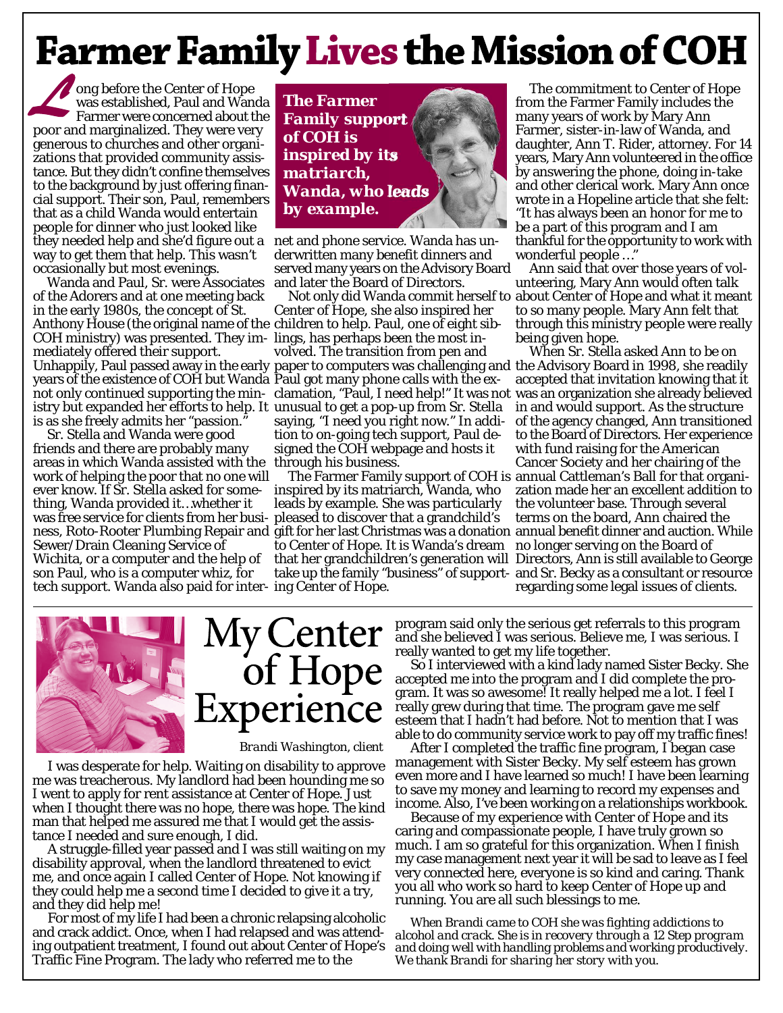## **Farmer Family Lives the Mission of COH**

ong before the Center of Hope was established, Paul and Wanda Farmer were concerned about the poor and marginalized. They were very generous to churches and other organizations that provided community assistance. But they didn't confine themselves to the background by just offering financial support. Their son, Paul, remembers that as a child Wanda would entertain people for dinner who just looked like they needed help and she'd figure out a net and phone service. Wanda has unway to get them that help. This wasn't occasionally but most evenings.

Wanda and Paul, Sr. were Associates of the Adorers and at one meeting back in the early 1980s, the concept of St. Anthony House (the original name of the children to help. Paul, one of eight sib-COH ministry) was presented. They im-lings, has perhaps been the most inmediately offered their support. Unhappily, Paul passed away in the early paper to computers was challenging and the Advisory Board in 1998, she readily years of the existence of COH but Wanda Paul got many phone calls with the existry but expanded her efforts to help. It unusual to get a pop-up from Sr. Stella is as she freely admits her "passion."

Sr. Stella and Wanda were good friends and there are probably many areas in which Wanda assisted with the through his business. work of helping the poor that no one will ever know. If Sr. Stella asked for something, Wanda provided it…whether it was free service for clients from her busi-pleased to discover that a grandchild's Sewer/Drain Cleaning Service of Wichita, or a computer and the help of son Paul, who is a computer whiz, for tech support. Wanda also paid for inter-ing Center of Hope.



derwritten many benefit dinners and served many years on the Advisory Board and later the Board of Directors.

Center of Hope, she also inspired her volved. The transition from pen and saying, "I need you right now." In addition to on-going tech support, Paul designed the COH webpage and hosts it

inspired by its matriarch, Wanda, who leads by example. She was particularly to Center of Hope. It is Wanda's dream

The commitment to Center of Hope from the Farmer Family includes the many years of work by Mary Ann Farmer, sister-in-law of Wanda, and daughter, Ann T. Rider, attorney. For 14 years, Mary Ann volunteered in the office by answering the phone, doing in-take and other clerical work. Mary Ann once wrote in a Hopeline article that she felt: "It has always been an honor for me to be a part of this program and I am thankful for the opportunity to work with wonderful people …"

Not only did Wanda commit herself to about Center of Hope and what it meant Ann said that over those years of volunteering, Mary Ann would often talk to so many people. Mary Ann felt that through this ministry people were really being given hope.

not only continued supporting the min-clamation, "Paul, I need help!" It was not was an organization she already believed ness, Roto-Rooter Plumbing Repair and gift for her last Christmas was a donation annual benefit dinner and auction. While The Farmer Family support of COH is annual Cattleman's Ball for that organithat her grandchildren's generation will Directors, Ann is still available to George take up the family "business" of support-and Sr. Becky as a consultant or resource When Sr. Stella asked Ann to be on accepted that invitation knowing that it in and would support. As the structure of the agency changed, Ann transitioned to the Board of Directors. Her experience with fund raising for the American Cancer Society and her chairing of the zation made her an excellent addition to the volunteer base. Through several terms on the board, Ann chaired the no longer serving on the Board of regarding some legal issues of clients.



I was desperate for help. Waiting on disability to approve me was treacherous. My landlord had been hounding me so I went to apply for rent assistance at Center of Hope. Just when I thought there was no hope, there was hope. The kind man that helped me assured me that I would get the assistance I needed and sure enough, I did.

A struggle-filled year passed and I was still waiting on my disability approval, when the landlord threatened to evict me, and once again I called Center of Hope. Not knowing if they could help me a second time I decided to give it a try, and they did help me!

For most of my life I had been a chronic relapsing alcoholic and crack addict. Once, when I had relapsed and was attending outpatient treatment, I found out about Center of Hope's Traffic Fine Program. The lady who referred me to the

program said only the serious get referrals to this program and she believed I was serious. Believe me, I was serious. I really wanted to get my life together.

So I interviewed with a kind lady named Sister Becky. She accepted me into the program and I did complete the program. It was so awesome! It really helped me a lot. I feel I really grew during that time. The program gave me self esteem that I hadn't had before. Not to mention that I was able to do community service work to pay off my traffic fines!

After I completed the traffic fine program, I began case management with Sister Becky. My self esteem has grown even more and I have learned so much! I have been learning to save my money and learning to record my expenses and income. Also, I've been working on a relationships workbook.

Because of my experience with Center of Hope and its caring and compassionate people, I have truly grown so much. I am so grateful for this organization. When I finish my case management next year it will be sad to leave as I feel very connected here, everyone is so kind and caring. Thank you all who work so hard to keep Center of Hope up and running. You are all such blessings to me.

*When Brandi came to COH she was fighting addictions to alcohol and crack. She is in recovery through a 12 Step program and doing well with handling problems and working productively. We thank Brandi for sharing her story with you.*